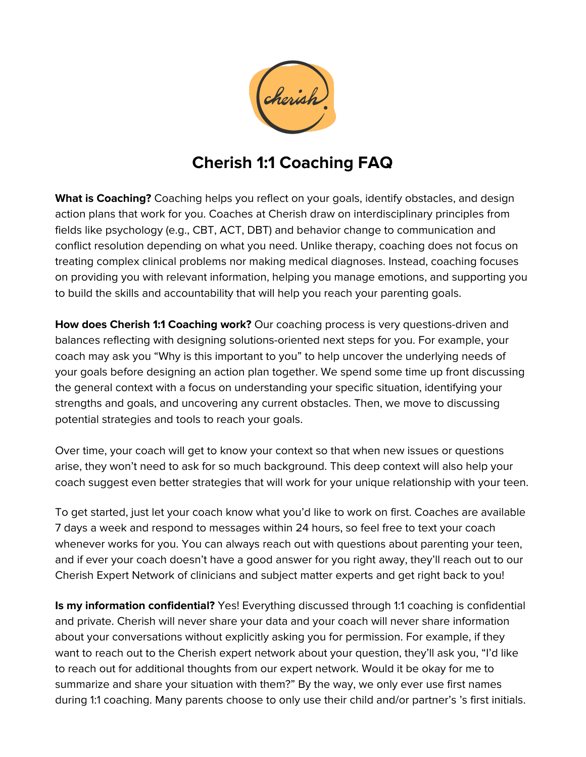

## **Cherish 1:1 Coaching FAQ**

**What is Coaching?** Coaching helps you reflect on your goals, identify obstacles, and design action plans that work for you. Coaches at Cherish draw on interdisciplinary principles from fields like psychology (e.g., CBT, ACT, DBT) and behavior change to communication and conflict resolution depending on what you need. Unlike therapy, coaching does not focus on treating complex clinical problems nor making medical diagnoses. Instead, coaching focuses on providing you with relevant information, helping you manage emotions, and supporting you to build the skills and accountability that will help you reach your parenting goals.

**How does Cherish 1:1 Coaching work?** Our coaching process is very questions-driven and balances reflecting with designing solutions-oriented next steps for you. For example, your coach may ask you "Why is this important to you" to help uncover the underlying needs of your goals before designing an action plan together. We spend some time up front discussing the general context with a focus on understanding your specific situation, identifying your strengths and goals, and uncovering any current obstacles. Then, we move to discussing potential strategies and tools to reach your goals.

Over time, your coach will get to know your context so that when new issues or questions arise, they won't need to ask for so much background. This deep context will also help your coach suggest even better strategies that will work for your unique relationship with your teen.

To get started, just let your coach know what you'd like to work on first. Coaches are available 7 days a week and respond to messages within 24 hours, so feel free to text your coach whenever works for you. You can always reach out with questions about parenting your teen, and if ever your coach doesn't have a good answer for you right away, they'll reach out to our Cherish Expert Network of clinicians and subject matter experts and get right back to you!

**Is my information confidential?** Yes! Everything discussed through 1:1 coaching is confidential and private. Cherish will never share your data and your coach will never share information about your conversations without explicitly asking you for permission. For example, if they want to reach out to the Cherish expert network about your question, they'll ask you, "I'd like to reach out for additional thoughts from our expert network. Would it be okay for me to summarize and share your situation with them?" By the way, we only ever use first names during 1:1 coaching. Many parents choose to only use their child and/or partner's 's first initials.